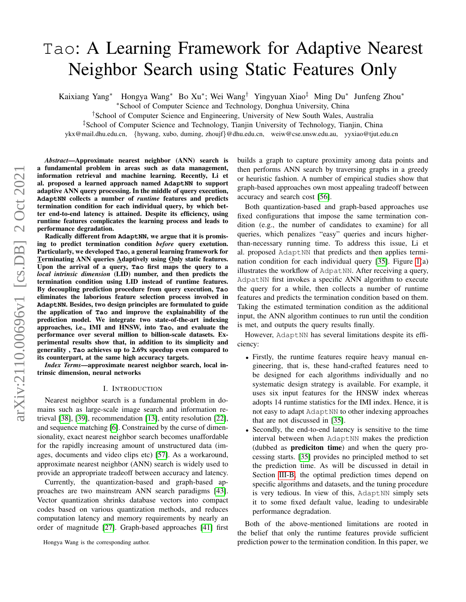# arXiv:2110.00696v1 [cs.DB] 2 Oct 2021 arXiv:2110.00696v1 [cs.DB] 2 Oct 2021

# Tao: A Learning Framework for Adaptive Nearest Neighbor Search using Static Features Only

Kaixiang Yang<sup>∗</sup> Hongya Wang<sup>∗</sup> Bo Xu<sup>∗</sup> ; Wei Wang† Yingyuan Xiao‡ Ming Du<sup>∗</sup> Junfeng Zhou<sup>∗</sup>

<sup>∗</sup>School of Computer Science and Technology, Donghua University, China

†School of Computer Science and Engineering, University of New South Wales, Australia

‡School of Computer Science and Technology, Tianjin University of Technology, Tianjin, China

ykx@mail.dhu.edu.cn, {hywang, xubo, duming, zhoujf}@dhu.edu.cn, weiw@cse.unsw.edu.au, yyxiao@tjut.edu.cn

*Abstract*—Approximate nearest neighbor (ANN) search is a fundamental problem in areas such as data management, information retrieval and machine learning. Recently, Li et al. proposed a learned approach named **AdaptNN** to support adaptive ANN query processing. In the middle of query execution, **AdaptNN** collects a number of *runtime* features and predicts termination condition for each individual query, by which better end-to-end latency is attained. Despite its efficiency, using runtime features complicates the learning process and leads to performance degradation.

Radically different from **AdaptNN**, we argue that it is promising to predict termination condition *before* query exetution. Particularly, we developed **Tao**, a general learning framework for Terminating ANN queries Adaptively using Only static features. Upon the arrival of a query, **Tao** first maps the query to a *local intrinsic dimension* (LID) number, and then predicts the termination condition using LID instead of runtime features. By decoupling prediction procedure from query execution, **Tao** eliminates the laborious feature selection process involved in **AdaptNN**. Besides, two design principles are formulated to guide the application of **Tao** and improve the explainability of the prediction model. We integrate two state-of-the-art indexing approaches, i.e., IMI and HNSW, into **Tao**, and evaluate the performance over several million to billion-scale datasets. Experimental results show that, in addition to its simplicity and generality , **Tao** achieves up to 2.69x speedup even compared to its counterpart, at the same high accuracy targets.

*Index Terms*—approximate nearest neighbor search, local intrinsic dimension, neural networks

### I. INTRODUCTION

Nearest neighbor search is a fundamental problem in domains such as large-scale image search and information retrieval [\[38\]](#page-12-0), [\[39\]](#page-12-1), recommendation [\[13\]](#page-12-2), entity resolution [\[22\]](#page-12-3), and sequence matching [\[6\]](#page-12-4). Constrained by the curse of dimensionality, exact nearest neighbor search becomes unaffordable for the rapidly increasing amount of unstructured data (images, documents and video clips etc) [\[57\]](#page-13-0). As a workaround, approximate nearest neighbor (ANN) search is widely used to provide an appropriate tradeoff between accuracy and latency.

Currently, the quantization-based and graph-based approaches are two mainstream ANN search paradigms [\[43\]](#page-12-5). Vector quantization shrinks database vectors into compact codes based on various quantization methods, and reduces computation latency and memory requirements by nearly an order of magnitude [\[27\]](#page-12-6). Graph-based approaches [\[41\]](#page-12-7) first

Hongya Wang is the corresponding author.

builds a graph to capture proximity among data points and then performs ANN search by traversing graphs in a greedy or heuristic fashion. A number of empirical studies show that graph-based approaches own most appealing tradeoff between accuracy and search cost [\[56\]](#page-13-1).

Both quantization-based and graph-based approaches use fixed configurations that impose the same termination condition (e.g., the number of candidates to examine) for all queries, which penalizes "easy" queries and incurs higherthan-necessary running time. To address this issue, Li et al. proposed AdaptNN that predicts and then applies termination condition for each individual query [\[35\]](#page-12-8). Figure [1\(](#page-1-0)a) illustrates the workflow of AdpatNN. After receiving a query, AdpatNN first invokes a specific ANN algorithm to execute the query for a while, then collects a number of runtime features and predicts the termination condition based on them. Taking the estimated termination condition as the additional input, the ANN algorithm continues to run until the condition is met, and outputs the query results finally.

However, AdaptNN has several limitations despite its efficiency:

- Firstly, the runtime features require heavy manual engineering, that is, these hand-crafted features need to be designed for each algorithms individually and no systematic design strategy is available. For example, it uses six input features for the HNSW index whereas adopts 14 runtime statistics for the IMI index. Hence, it is not easy to adapt AdaptNN to other indexing approaches that are not discussed in [\[35\]](#page-12-8).
- Secondly, the end-to-end latency is sensitive to the time interval between when AdaptNN makes the prediction (dubbed as prediciton time) and when the query processing starts. [\[35\]](#page-12-8) provides no principled method to set the prediction time. As will be discussed in detail in Section [III-B,](#page-3-0) the optimal prediction times depend on specific algorithms and datasets, and the tuning procedure is very tedious. In view of this, AdaptNN simply sets it to some fixed default value, leading to undesirable performance degradation.

Both of the above-mentioned limitations are rooted in the belief that only the runtime features provide sufficient prediction power to the termination condition. In this paper, we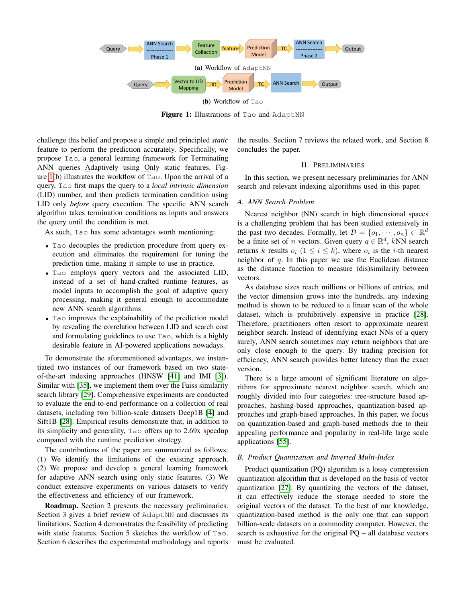<span id="page-1-0"></span>

features of  $\mathbf{r}$  features of  $\mathbf{r}$  features of  $\mathbf{r}$ Figure 1: Illustrations of Tao and AdaptNN  $\mathbf{e}^{\mathbf{w}}$  , we have the set of  $\mathbf{e}^{\mathbf{w}}$  ,  $\mathbf{e}^{\mathbf{w}}$ **Prediction** 

challenge this belief and propose a simple and principled *static* feature to perform the prediction accurately. Specifically, we propose Tao, a general learning framework for Terminating ANN queries Adaptively using Only static features. Figure [1\(](#page-1-0)b) illustrates the workflow of Tao. Upon the arrival of a query, Tao first maps the query to a *local intrinsic dimension* (LID) number, and then predicts termination condition using LID only *before* query execution. The specific ANN search algorithm takes termination conditions as inputs and answers the query until the condition is met.

As such, Tao has some advantages worth mentioning:

- Tao decouples the prediction procedure from query execution and eliminates the requirement for tuning the prediction time, making it simple to use in practice.
- Tao employs query vectors and the associated LID, instead of a set of hand-crafted runtime features, as model inputs to accomplish the goal of adaptive query processing, making it general enough to accommodate new ANN search algorithms
- Tao improves the explainability of the prediction model by revealing the correlation between LID and search cost and formulating guidelines to use Tao, which is a highly desirable feature in AI-powered applications nowadays.

To demonstrate the aforementioned advantages, we instantiated two instances of our framework based on two stateof-the-art indexing approaches (HNSW [\[41\]](#page-12-7) and IMI [\[3\]](#page-12-9)). Similar with [\[35\]](#page-12-8), we implement them over the Faiss similarity search library [\[29\]](#page-12-10). Comprehensive experiments are conducted to evaluate the end-to-end performance on a collection of real datasets, including two billion-scale datasets Deep1B [\[4\]](#page-12-11) and Sift1B [\[28\]](#page-12-12). Empirical results demonstrate that, in addition to its simplicity and generality, Tao offers up to 2.69x speedup compared with the runtime prediction strategy.

The contributions of the paper are summarized as follows: (1) We identify the limitations of the existing approach. (2) We propose and develop a general learning framework for adaptive ANN search using only static features. (3) We conduct extensive experiments on various datasets to verify the effectiveness and efficiency of our framework.

Roadmap. Section 2 presents the necessary preliminaries. Section 3 gives a brief review of AdaptNN and discusses its limitations. Section 4 demonstrates the feasibility of predicting with static features. Section 5 sketches the workflow of Tao. Section 6 describes the experimental methodology and reports the results. Section 7 reviews the related work, and Section 8 concludes the paper.

### II. PRELIMINARIES

In this section, we present necessary preliminaries for ANN search and relevant indexing algorithms used in this paper.

### *A. ANN Search Problem*

Nearest neighbor (NN) search in high dimensional spaces is a challenging problem that has been studied extensively in the past two decades. Formally, let  $\mathcal{D} = \{o_1, \dots, o_n\} \subset \mathbb{R}^d$ be a finite set of *n* vectors. Given query  $q \in \mathbb{R}^d$ , kNN search returns k results  $o_i$   $(1 \le i \le k)$ , where  $o_i$  is the *i*-th nearest neighbor of  $q$ . In this paper we use the Euclidean distance as the distance function to measure (dis)similarity between vectors.

As database sizes reach millions or billions of entries, and the vector dimension grows into the hundreds, any indexing method is shown to be reduced to a linear scan of the whole dataset, which is prohibitively expensive in practice [\[28\]](#page-12-12). Therefore, practitioners often resort to approximate nearest neighbor search. Instead of identifying exact NNs of a query surely, ANN search sometimes may return neighbors that are only close enough to the query. By trading precision for efficiency, ANN search provides better latency than the exact version.

There is a large amount of significant literature on algorithms for approximate nearest neighbor search, which are roughly divided into four categories: tree-structure based approaches, hashing-based approaches, quantization-based approaches and graph-based approaches. In this paper, we focus on quantization-based and graph-based methods due to their appealing performance and popularity in real-life large scale applications [\[55\]](#page-12-13).

### *B. Product Quantization and Inverted Multi-Index*

Product quantization (PQ) algorithm is a lossy compression quantization algorithm that is developed on the basis of vector quantization [\[27\]](#page-12-6). By quantizing the vectors of the dataset, it can effectively reduce the storage needed to store the original vectors of the dataset. To the best of our knowledge, quantization-based method is the only one that can support billion-scale datasets on a commodity computer. However, the search is exhaustive for the original PQ – all database vectors must be evaluated.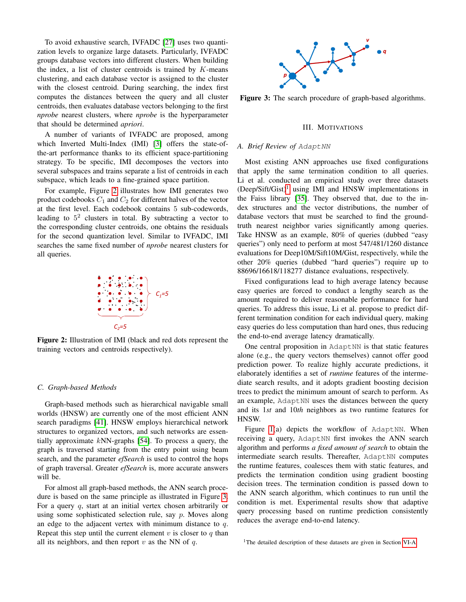To avoid exhaustive search, IVFADC [\[27\]](#page-12-6) uses two quantization levels to organize large datasets. Particularly, IVFADC groups database vectors into different clusters. When building the index, a list of cluster centroids is trained by  $K$ -means clustering, and each database vector is assigned to the cluster with the closest centroid. During searching, the index first computes the distances between the query and all cluster centroids, then evaluates database vectors belonging to the first *nprobe* nearest clusters, where *nprobe* is the hyperparameter that should be determined *apriori*.

A number of variants of IVFADC are proposed, among which Inverted Multi-Index (IMI) [\[3\]](#page-12-9) offers the state-ofthe-art performance thanks to its efficient space-partitioning strategy. To be specific, IMI decomposes the vectors into several subspaces and trains separate a list of centroids in each subspace, which leads to a fine-grained space partition.

For example, Figure [2](#page-2-0) illustrates how IMI generates two product codebooks  $C_1$  and  $C_2$  for different halves of the vector at the first level. Each codebook contains 5 sub-codewords, leading to  $5<sup>2</sup>$  clusters in total. By subtracting a vector to the corresponding cluster centroids, one obtains the residuals for the second quantization level. Similar to IVFADC, IMI searches the same fixed number of *nprobe* nearest clusters for all queries.

<span id="page-2-0"></span>

Figure 2: Illustration of IMI (black and red dots represent the training vectors and centroids respectively).

### *C. Graph-based Methods*

Graph-based methods such as hierarchical navigable small worlds (HNSW) are currently one of the most efficient ANN search paradigms [\[41\]](#page-12-7). HNSW employs hierarchical network structures to organized vectors, and such networks are essentially approximate  $kNN$ -graphs [\[54\]](#page-12-14). To process a query, the graph is traversed starting from the entry point using beam search, and the parameter *efSearch* is used to control the hops of graph traversal. Greater *efSearch* is, more accurate answers will be.

For almost all graph-based methods, the ANN search procedure is based on the same principle as illustrated in Figure [3.](#page-2-1) For a query  $q$ , start at an initial vertex chosen arbitrarily or using some sophisticated selection rule, say  $p$ . Moves along an edge to the adjacent vertex with minimum distance to  $q$ . Repeat this step until the current element  $v$  is closer to  $q$  than all its neighbors, and then report  $v$  as the NN of  $q$ .

<span id="page-2-1"></span>

Figure 3: The search procedure of graph-based algorithms.

### III. MOTIVATIONS

### *A. Brief Review of* AdaptNN

Most existing ANN approaches use fixed configurations that apply the same termination condition to all queries. Li et al. conducted an empirical study over three datasets  $(Deep/Sift/Gist)^{1}$  $(Deep/Sift/Gist)^{1}$  $(Deep/Sift/Gist)^{1}$  using IMI and HNSW implementations in the Faiss library [\[35\]](#page-12-8). They observed that, due to the index structures and the vector distributions, the number of database vectors that must be searched to find the groundtruth nearest neighbor varies significantly among queries. Take HNSW as an example, 80% of queries (dubbed "easy queries") only need to perform at most 547/481/1260 distance evaluations for Deep10M/Sift10M/Gist, respectively, while the other 20% queries (dubbed "hard queries") require up to 88696/16618/118277 distance evaluations, respectively.

· *<sup>C</sup>1=5* amount required to deliver reasonable performance for hard *C2=5* easy queries do less computation than hard ones, thus reducing Fixed configurations lead to high average latency because easy queries are forced to conduct a lengthy search as the queries. To address this issue, Li et al. propose to predict different termination condition for each individual query, making the end-to-end average latency dramatically.

> One central proposition in AdaptNN is that static features alone (e.g., the query vectors themselves) cannot offer good prediction power. To realize highly accurate predictions, it elaborately identifies a set of *runtime* features of the intermediate search results, and it adopts gradient boosting decision trees to predict the minimum amount of search to perform. As an example, AdaptNN uses the distances between the query and its 1*st* and 10*th* neighbors as two runtime features for HNSW.

> Figure  $1(a)$  depicts the workflow of AdaptNN. When receiving a query, AdaptNN first invokes the ANN search algorithm and performs *a fixed amount of search* to obtain the intermediate search results. Thereafter, AdaptNN computes the runtime features, coalesces them with static features, and predicts the termination condition using gradient boosting decision trees. The termination condition is passed down to the ANN search algorithm, which continues to run until the condition is met. Experimental results show that adaptive query processing based on runtime prediction consistently reduces the average end-to-end latency.

<span id="page-2-2"></span><sup>&</sup>lt;sup>1</sup>The detailed description of these datasets are given in Section [VI-A](#page-6-0)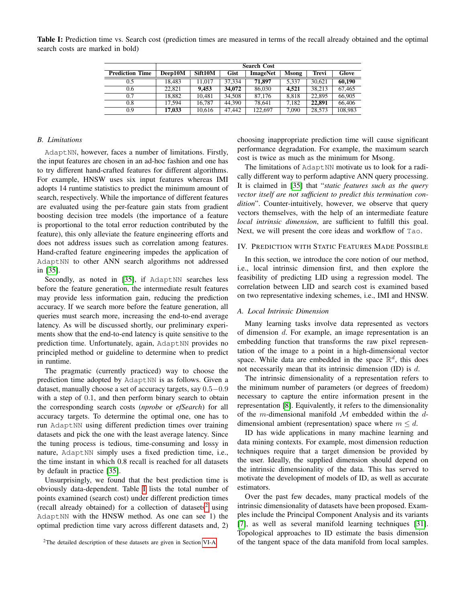<span id="page-3-1"></span>Table I: Prediction time vs. Search cost (prediction times are measured in terms of the recall already obtained and the optimal search costs are marked in bold)

|                        | <b>Search Cost</b> |         |             |                 |       |              |         |
|------------------------|--------------------|---------|-------------|-----------------|-------|--------------|---------|
| <b>Prediction Time</b> | Deep10M            | Sift10M | <b>Gist</b> | <b>ImageNet</b> | Msong | <b>Trevi</b> | Glove   |
| 0.5                    | 18.483             | 11.017  | 37.334      | 71.897          | 5.337 | 30.621       | 60.190  |
| 0.6                    | 22.821             | 9.453   | 34,072      | 86,030          | 4.521 | 38.213       | 67.465  |
| 0.7                    | 18.882             | 10.481  | 34,508      | 87.176          | 8.818 | 22.895       | 66.905  |
| 0.8                    | 17.594             | 16.787  | 44,390      | 78.641          | 7.182 | 22,891       | 66,406  |
| 0.9                    | 17.033             | 10.616  | 47,442      | 122,697         | 7.090 | 28.573       | 108,983 |

### <span id="page-3-0"></span>*B. Limitations*

AdaptNN, however, faces a number of limitations. Firstly, the input features are chosen in an ad-hoc fashion and one has to try different hand-crafted features for different algorithms. For example, HNSW uses six input features whereas IMI adopts 14 runtime statistics to predict the minimum amount of search, respectively. While the importance of different features are evaluated using the per-feature gain stats from gradient boosting decision tree models (the importance of a feature is proportional to the total error reduction contributed by the feature), this only alleviate the feature engineering efforts and does not address issues such as correlation among features. Hand-crafted feature engineering impedes the application of AdaptNN to other ANN search algorithms not addressed in [\[35\]](#page-12-8).

Secondly, as noted in [\[35\]](#page-12-8), if AdaptNN searches less before the feature generation, the intermediate result features may provide less information gain, reducing the prediction accuracy. If we search more before the feature generation, all queries must search more, increasing the end-to-end average latency. As will be discussed shortly, our preliminary experiments show that the end-to-end latency is quite sensitive to the prediction time. Unfortunately, again, AdaptNN provides no principled method or guideline to determine when to predict in runtime.

The pragmatic (currently practiced) way to choose the prediction time adopted by AdaptNN is as follows. Given a dataset, manually choose a set of accuracy targets, say 0.5−0.9 with a step of 0.1, and then perform binary search to obtain the corresponding search costs (*nprobe* or *efSearch*) for all accuracy targets. To determine the optimal one, one has to run AdaptNN using different prediction times over training datasets and pick the one with the least average latency. Since the tuning process is tedious, time-consuming and lossy in nature, AdaptNN simply uses a fixed prediction time, i.e., the time instant in which 0.8 recall is reached for all datasets by default in practice [\[35\]](#page-12-8).

Unsurprisingly, we found that the best prediction time is obviously data-dependent. Table [I](#page-3-1) lists the total number of points examined (search cost) under different prediction times (recall already obtained) for a collection of datasets<sup>[2](#page-3-2)</sup> using AdaptNN with the HNSW method. As one can see 1) the optimal prediction time vary across different datasets and, 2)

<span id="page-3-2"></span><sup>2</sup>The detailed description of these datasets are given in Section [VI-A](#page-6-0)

choosing inappropriate prediction time will cause significant performance degradation. For example, the maximum search cost is twice as much as the minimum for Msong.

The limitations of AdaptNN motivate us to look for a radically different way to perform adaptive ANN query processing. It is claimed in [\[35\]](#page-12-8) that "*static features such as the query vector itself are not sufficient to predict this termination condition*". Counter-intuitively, however, we observe that query vectors themselves, with the help of an intermediate feature *local intrinsic dimension*, are sufficient to fulfill this goal. Next, we will present the core ideas and workflow of Tao.

### IV. PREDICTION WITH STATIC FEATURES MADE POSSIBLE

In this section, we introduce the core notion of our method, i.e., local intrinsic dimension first, and then explore the feasibility of predicting LID using a regression model. The correlation between LID and search cost is examined based on two representative indexing schemes, i.e., IMI and HNSW.

### *A. Local Intrinsic Dimension*

Many learning tasks involve data represented as vectors of dimension d. For example, an image representation is an embedding function that transforms the raw pixel representation of the image to a point in a high-dimensional vector space. While data are embedded in the space  $\mathbb{R}^d$ , this does not necessarily mean that its intrinsic dimension (ID) is d.

The intrinsic dimensionality of a representation refers to the minimum number of parameters (or degrees of freedom) necessary to capture the entire information present in the representation [\[8\]](#page-12-15). Equivalently, it refers to the dimensionality of the *m*-dimensional manifold  $M$  embedded within the  $d$ dimensional ambient (representation) space where  $m \leq d$ .

ID has wide applications in many machine learning and data mining contexts. For example, most dimension reduction techniques require that a target dimension be provided by the user. Ideally, the supplied dimension should depend on the intrinsic dimensionality of the data. This has served to motivate the development of models of ID, as well as accurate estimators.

Over the past few decades, many practical models of the intrinsic dimensionality of datasets have been proposed. Examples include the Principal Component Analysis and its variants [\[7\]](#page-12-16), as well as several manifold learning techniques [\[31\]](#page-12-17). Topological approaches to ID estimate the basis dimension of the tangent space of the data manifold from local samples.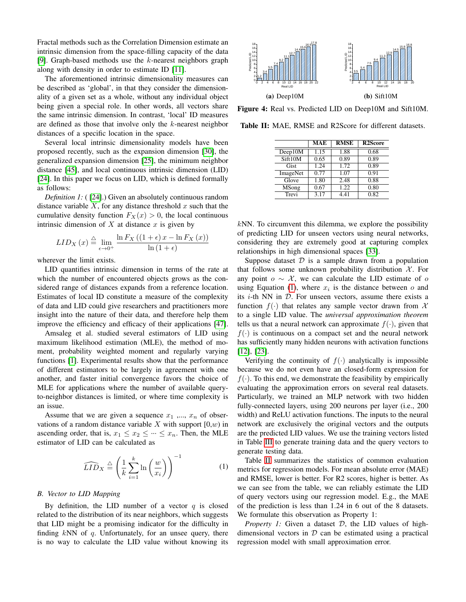Fractal methods such as the Correlation Dimension estimate an intrinsic dimension from the space-filling capacity of the data [\[9\]](#page-12-18). Graph-based methods use the  $k$ -nearest neighbors graph along with density in order to estimate ID [\[11\]](#page-12-19).

The aforementioned intrinsic dimensionality measures can be described as 'global', in that they consider the dimensionality of a given set as a whole, without any individual object being given a special role. In other words, all vectors share the same intrinsic dimension. In contrast, 'local' ID measures are defined as those that involve only the k-nearest neighbor distances of a specific location in the space.

Several local intrinsic dimensionality models have been proposed recently, such as the expansion dimension [\[30\]](#page-12-20), the generalized expansion dimension [\[25\]](#page-12-21), the minimum neighbor distance [\[45\]](#page-12-22), and local continuous intrinsic dimension (LID) [\[24\]](#page-12-23). In this paper we focus on LID, which is defined formally as follows:

*Definition 1:* ( [\[24\]](#page-12-23).) Given an absolutely continuous random distance variable  $X$ , for any distance threshold  $x$  such that the cumulative density function  $F_X(x) > 0$ , the local continuous intrinsic dimension of  $X$  at distance  $x$  is given by

$$
LID_X(x) \stackrel{\triangle}{=} \lim_{\epsilon \to 0^+} \frac{\ln F_X((1+\epsilon)x - \ln F_X(x))}{\ln (1+\epsilon)}
$$

wherever the limit exists.

LID quantifies intrinsic dimension in terms of the rate at which the number of encountered objects grows as the considered range of distances expands from a reference location. Estimates of local ID constitute a measure of the complexity of data and LID could give researchers and practitioners more insight into the nature of their data, and therefore help them improve the efficiency and efficacy of their applications [\[47\]](#page-12-24).

Amsaleg et al. studied several estimators of LID using maximum likelihood estimation (MLE), the method of moment, probability weighted moment and regularly varying functions [\[1\]](#page-12-25). Experimental results show that the performance of different estimators to be largely in agreement with one another, and faster initial convergence favors the choice of MLE for applications where the number of available queryto-neighbor distances is limited, or where time complexity is an issue.

<span id="page-4-0"></span>Assume that we are given a sequence  $x_1$ ,...,  $x_n$  of observations of a random distance variable  $X$  with support  $[0, w)$  in ascending order, that is,  $x_1 \le x_2 \le \cdots \le x_n$ . Then, the MLE estimator of LID can be calculated as

$$
\widehat{LID}_X \stackrel{\triangle}{=} \left(\frac{1}{k} \sum_{i=1}^k \ln\left(\frac{w}{x_i}\right)\right)^{-1} \tag{1}
$$

### *B. Vector to LID Mapping*

By definition, the LID number of a vector  $q$  is closed related to the distribution of its near neighbors, which suggests that LID might be a promising indicator for the difficulty in finding  $kNN$  of q. Unfortunately, for an unsee query, there is no way to calculate the LID value without knowing its

<span id="page-4-2"></span>

Figure 4: Real vs. Predicted LID on Deep10M and Sift10M.

<span id="page-4-1"></span>Table II: MAE, RMSE and R2Score for different datasets.

|          | <b>MAE</b> | <b>RMSE</b> | <b>R2Score</b> |
|----------|------------|-------------|----------------|
| Deep10M  | 1.15       | 1.88        | 0.68           |
| Sift10M  | 0.65       | 0.89        | 0.89           |
| Gist     | 1.24       | 1.72        | 0.89           |
| ImageNet | 0.77       | 1.07        | 0.91           |
| Glove    | 1.80       | 2.48        | 0.88           |
| MSong    | 0.67       | 1.22        | 0.80           |
| Trevi    | 3.17       | 4.41        | 0.82           |

 $k$ NN. To circumvent this dilemma, we explore the possibility of predicting LID for unseen vectors using neural networks, considering they are extremely good at capturing complex relationships in high dimensional spaces [\[33\]](#page-12-26).

Suppose dataset  $D$  is a sample drawn from a population that follows some unknown probability distribution  $X$ . For any point  $o \sim \mathcal{X}$ , we can calculate the LID estimate of o using Equation [\(1\)](#page-4-0), where  $x_i$  is the distance between  $o$  and its  $i$ -th NN in  $D$ . For unseen vectors, assume there exists a function  $f(\cdot)$  that relates any sample vector drawn from X to a single LID value. The *universal approximation theorem* tells us that a neural network can approximate  $f(\cdot)$ , given that  $f(\cdot)$  is continuous on a compact set and the neural network has sufficiently many hidden neurons with activation functions [\[12\]](#page-12-27), [\[23\]](#page-12-28).

Verifying the continuity of  $f(\cdot)$  analytically is impossible because we do not even have an closed-form expression for  $f(\cdot)$ . To this end, we demonstrate the feasibility by empirically evaluating the approximation errors on several real datasets. Particularly, we trained an MLP network with two hidden fully-connected layers, using 200 neurons per layer (i.e., 200 width) and ReLU activation functions. The inputs to the neural network are exclusively the original vectors and the outputs are the predicted LID values. We use the training vectors listed in Table [III](#page-6-1) to generate training data and the query vectors to generate testing data.

Table [II](#page-4-1) summarizes the statistics of common evaluation metrics for regression models. For mean absolute error (MAE) and RMSE, lower is better. For R2 scores, higher is better. As we can see from the table, we can reliably estimate the LID of query vectors using our regression model. E.g., the MAE of the prediction is less than 1.24 in 6 out of the 8 datasets. We formulate this observation as Property 1:

*Property 1:* Given a dataset D, the LID values of highdimensional vectors in  $D$  can be estimated using a practical regression model with small approximation error.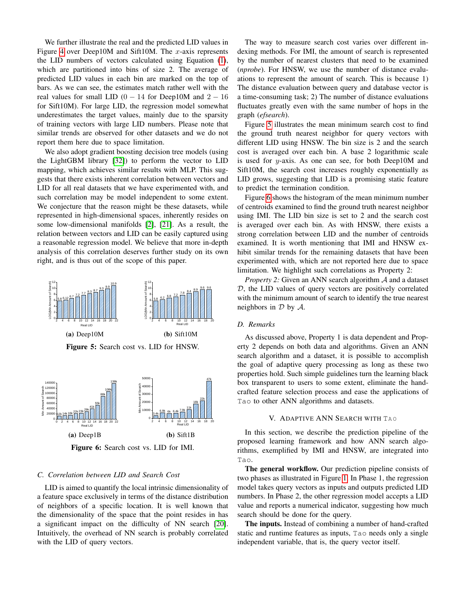We further illustrate the real and the predicted LID values in Figure [4](#page-4-2) over Deep10M and Sift10M. The  $x$ -axis represents the LID numbers of vectors calculated using Equation [\(1\)](#page-4-0), which are partitioned into bins of size 2. The average of predicted LID values in each bin are marked on the top of bars. As we can see, the estimates match rather well with the real values for small LID  $(0 - 14$  for Deep10M and  $2 - 16$ for Sift10M). For large LID, the regression model somewhat underestimates the target values, mainly due to the sparsity of training vectors with large LID numbers. Please note that similar trends are observed for other datasets and we do not report them here due to space limitation.

We also adopt gradient boosting decision tree models (using the LightGBM library [\[32\]](#page-12-29)) to perform the vector to LID mapping, which achieves similar results with MLP. This suggests that there exists inherent correlation between vectors and LID for all real datasets that we have experimented with, and such correlation may be model independent to some extent. We conjecture that the reason might be these datasets, while represented in high-dimensional spaces, inherently resides on some low-dimensional manifolds [\[2\]](#page-12-30), [\[21\]](#page-12-31). As a result, the relation between vectors and LID can be easily captured using a reasonable regression model. We believe that more in-depth analysis of this correlation deserves further study on its own right, and is thus out of the scope of this paper.

<span id="page-5-0"></span>

<span id="page-5-1"></span>(a) Deep1B (b) Sift1B

Figure 6: Search cost vs. LID for IMI.

### *C. Correlation between LID and Search Cost*

LID is aimed to quantify the local intrinsic dimensionality of a feature space exclusively in terms of the distance distribution of neighbors of a specific location. It is well known that the dimensionality of the space that the point resides in has a significant impact on the difficulty of NN search [\[20\]](#page-12-32). Intuitively, the overhead of NN search is probably correlated with the LID of query vectors.

The way to measure search cost varies over different indexing methods. For IMI, the amount of search is represented by the number of nearest clusters that need to be examined (*nprobe*). For HNSW, we use the number of distance evaluations to represent the amount of search. This is because 1) The distance evaluation between query and database vector is a time-consuming task; 2) The number of distance evaluations fluctuates greatly even with the same number of hops in the graph (*efsearch*).

Figure [5](#page-5-0) illustrates the mean minimum search cost to find the ground truth nearest neighbor for query vectors with different LID using HNSW. The bin size is 2 and the search cost is averaged over each bin. A base 2 logarithmic scale is used for y-axis. As one can see, for both Deep10M and Sift10M, the search cost increases roughly exponentially as LID grows, suggesting that LID is a promising static feature to predict the termination condition.

Figure [6](#page-5-1) shows the histogram of the mean minimum number of centroids examined to find the ground truth nearest neighbor using IMI. The LID bin size is set to 2 and the search cost is averaged over each bin. As with HNSW, there exists a strong correlation between LID and the number of centroids examined. It is worth mentioning that IMI and HNSW exhibit similar trends for the remaining datasets that have been experimented with, which are not reported here due to space limitation. We highlight such correlations as Property 2:

 $\mathbb{R}^{\frac{8.8}{20.86}}$   $\mathbb{D}$ , the LID values of query vectors are positively correlated *Property 2:* Given an ANN search algorithm A and a dataset with the minimum amount of search to identify the true nearest neighbors in  $D$  by  $A$ .

 $\frac{22k}{12k}$  Tao to other ANN algorithms and datasets.  $\frac{47k}{8}$  box transparent to users to some extent, eliminate the hand-As discussed above, Property 1 is data dependent and Property 2 depends on both data and algorithms. Given an ANN search algorithm and a dataset, it is possible to accomplish the goal of adaptive query processing as long as these two properties hold. Such simple guidelines turn the learning black crafted feature selection process and ease the applications of

### V. ADAPTIVE ANN SEARCH WITH TAO

In this section, we describe the prediction pipeline of the proposed learning framework and how ANN search algorithms, exemplified by IMI and HNSW, are integrated into Tao.

The general workflow. Our prediction pipeline consists of two phases as illustrated in Figure [1.](#page-1-0) In Phase 1, the regression model takes query vectors as inputs and outputs predicted LID numbers. In Phase 2, the other regression model accepts a LID value and reports a numerical indicator, suggesting how much search should be done for the query.

The inputs. Instead of combining a number of hand-crafted static and runtime features as inputs, Tao needs only a single independent variable, that is, the query vector itself.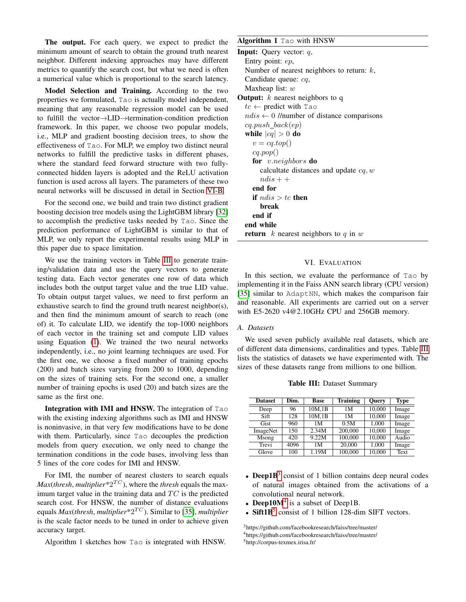The output. For each query, we expect to predict the minimum amount of search to obtain the ground truth nearest neighbor. Different indexing approaches may have different metrics to quantify the search cost, but what we need is often a numerical value which is proportional to the search latency.

Model Selection and Training. According to the two properties we formulated, Tao is actually model independent, meaning that any reasonable regression model can be used to fulfill the vector→LID→termination-condition prediction framework. In this paper, we choose two popular models, i.e., MLP and gradient boosting decision trees, to show the effectiveness of Tao. For MLP, we employ two distinct neural networks to fulfill the predictive tasks in different phases, where the standard feed forward structure with two fullyconnected hidden layers is adopted and the ReLU activation function is used across all layers. The parameters of these two neural networks will be discussed in detail in Section [VI-B.](#page-7-0)

For the second one, we build and train two distinct gradient boosting decision tree models using the LightGBM library [\[32\]](#page-12-29) to accomplish the predictive tasks needed by Tao. Since the prediction performance of LightGBM is similar to that of MLP, we only report the experimental results using MLP in this paper due to space limitation.

We use the training vectors in Table [III](#page-6-1) to generate training/validation data and use the query vectors to generate testing data. Each vector generates one row of data which includes both the output target value and the true LID value. To obtain output target values, we need to first perform an exhaustive search to find the ground truth nearest neighbor(s), and then find the minimum amount of search to reach (one of) it. To calculate LID, we identify the top-1000 neighbors of each vector in the training set and compute LID values using Equation [\(1\)](#page-4-0). We trained the two neural networks independently, i.e., no joint learning techniques are used. For the first one, we choose a fixed number of training epochs (200) and batch sizes varying from 200 to 1000, depending on the sizes of training sets. For the second one, a smaller number of training epochs is used (20) and batch sizes are the same as the first one.

Integration with IMI and HNSW. The integration of Tao with the existing indexing algorithms such as IMI and HNSW is noninvasive, in that very few modifications have to be done with them. Particularly, since Tao decouples the prediction models from query execution, we only need to change the termination conditions in the code bases, involving less than 5 lines of the core codes for IMI and HNSW.

For IMI, the number of nearest clusters to search equals  $Max(thresh, multiplier*2^{TC})$ , where the *thresh* equals the maximum target value in the training data and  $TC$  is the predicted search cost. For HNSW, the number of distance evaluations equals *Max*(*thresh*, *multiplier*\*2 T C ). Similar to [\[35\]](#page-12-8), *multiplier* is the scale factor needs to be tuned in order to achieve given accuracy target.

Algorithm 1 sketches how Tao is integrated with HNSW.

## Algorithm 1 Tao with HNSW

Input: Query vector: q, Entry point: ep, Number of nearest neighbors to return:  $k$ , Candidate queue: cq, Maxheap list: w **Output:**  $k$  nearest neighbors to q  $tc \leftarrow$  predict with Tao  $ndis \leftarrow 0$  //number of distance comparisons  $cq.push\_back(ep)$ while  $|cq| > 0$  do  $v = cq.top()$  $cq.pop()$ for *v.neighbors* do calcultate distances and update  $cq, w$  $ndis + +$ end for if  $ndis > tc$  then break end if end while **return** k nearest neighbors to q in w

### VI. EVALUATION

In this section, we evaluate the performance of Tao by implementing it in the Faiss ANN search library (CPU version) [\[35\]](#page-12-8) similar to AdaptNN, which makes the comparison fair and reasonable. All experiments are carried out on a server with E5-2620 v4@2.10GHz CPU and 256GB memory.

### <span id="page-6-0"></span>*A. Datasets*

We used seven publicly available real datasets, which are of different data dimensions, cardinalities and types. Table [III](#page-6-1) lists the statistics of datasets we have experimented with. The sizes of these datasets range from millions to one billion.

Table III: Dataset Summary

<span id="page-6-1"></span>

| <b>Dataset</b> | Dim. | <b>Base</b> | <b>Training</b> | <b>Ouery</b> | <b>Type</b> |
|----------------|------|-------------|-----------------|--------------|-------------|
| Deep           | 96   | 10M.1B      | 1М              | 10,000       | Image       |
| Sift           | 128  | 10M,1B      | 1М              | 10,000       | Image       |
| Gist           | 960  | 1M          | 0.5M            | 1,000        | Image       |
| ImageNet       | 150  | 2.34M       | 200,000         | 10.000       | Image       |
| Msong          | 420  | 9.22M       | 100,000         | 10,000       | Audio       |
| Trevi          | 4096 | 1M          | 20,000          | 1,000        | Image       |
| Glove          | 100  | 1.19M       | 100,000         | 10,000       | Text        |

- Deep1 $B<sup>3</sup>$  $B<sup>3</sup>$  $B<sup>3</sup>$  consist of 1 billion contains deep neural codes of natural images obtained from the activations of a convolutional neural network.
- Deep10 $M<sup>4</sup>$  $M<sup>4</sup>$  $M<sup>4</sup>$  is a subset of Deep1B.
- Sift1B<sup>[5](#page-6-4)</sup> consist of 1 billion 128-dim SIFT vectors.

<span id="page-6-4"></span><span id="page-6-3"></span><span id="page-6-2"></span><sup>3</sup>https://github.com/facebookresearch/faiss/tree/master/ <sup>4</sup>https://github.com/facebookresearch/faiss/tree/master/ <sup>5</sup>http://corpus-texmex.irisa.fr/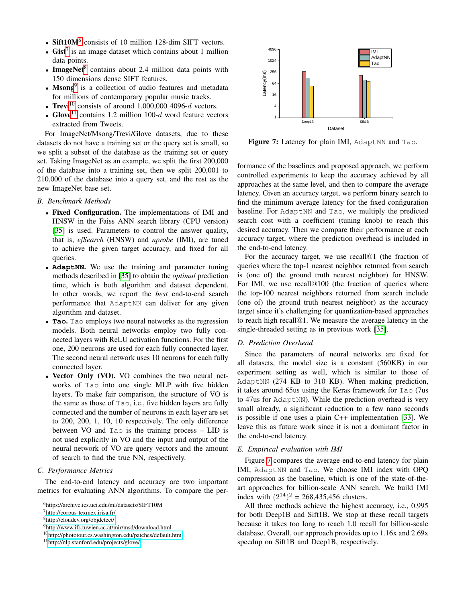- Sift10 $M^6$  $M^6$  consists of 10 million 128-dim SIFT vectors.
- Gist<sup>[7](#page-7-2)</sup> is an image dataset which contains about 1 million data points.
- ImageNet $8$  contains about 2.4 million data points with 150 dimensions dense SIFT features.
- Msong<sup>[9](#page-7-4)</sup> is a collection of audio features and metadata for millions of contemporary popular music tracks.
- Trevi<sup>[10](#page-7-5)</sup> consists of around 1,000,000 4096-d vectors.
- Glove<sup>[11](#page-7-6)</sup> contains 1.2 million 100-d word feature vectors extracted from Tweets.

For ImageNet/Msong/Trevi/Glove datasets, due to these datasets do not have a training set or the query set is small, so we split a subset of the database as the training set or query set. Taking ImageNet as an example, we split the first 200,000 of the database into a training set, then we split 200,001 to 210,000 of the database into a query set, and the rest as the new ImageNet base set.

### <span id="page-7-0"></span>*B. Benchmark Methods*

- Fixed Configuration. The implementations of IMI and HNSW in the Faiss ANN search library (CPU version) [\[35\]](#page-12-8) is used. Parameters to control the answer quality, that is, *efSearch* (HNSW) and *nprobe* (IMI), are tuned to achieve the given target accuracy, and fixed for all queries.
- **AdaptNN.** We use the training and parameter tuning methods described in [\[35\]](#page-12-8) to obtain the *optimal* prediction time, which is both algorithm and dataset dependent. In other words, we report the *best* end-to-end search performance that AdaptNN can deliver for any given algorithm and dataset.
- **Tao**. Tao employs two neural networks as the regression models. Both neural networks employ two fully connected layers with ReLU activation functions. For the first one, 200 neurons are used for each fully connected layer. The second neural network uses 10 neurons for each fully connected layer.
- Vector Only (VO). VO combines the two neural networks of Tao into one single MLP with five hidden layers. To make fair comparison, the structure of VO is the same as those of Tao, i.e., five hidden layers are fully connected and the number of neurons in each layer are set to 200, 200, 1, 10, 10 respectively. The only difference between VO and Tao is the training process – LID is not used explicitly in VO and the input and output of the neural network of VO are query vectors and the amount of search to find the true NN, respectively.

### *C. Performance Metrics*

The end-to-end latency and accuracy are two important metrics for evaluating ANN algorithms. To compare the per-

<span id="page-7-7"></span>

Figure 7: Latency for plain IMI, AdaptNN and Tao.

formance of the baselines and proposed approach, we perform controlled experiments to keep the accuracy achieved by all approaches at the same level, and then to compare the average latency. Given an accuracy target, we perform binary search to find the minimum average latency for the fixed configuration baseline. For AdaptNN and Tao, we multiply the predicted search cost with a coefficient (tuning knob) to reach this desired accuracy. Then we compare their performance at each accuracy target, where the prediction overhead is included in the end-to-end latency.

For the accuracy target, we use recall@1 (the fraction of queries where the top-1 nearest neighbor returned from search is (one of) the ground truth nearest neighbor) for HNSW. For IMI, we use recall@100 (the fraction of queries where the top-100 nearest neighbors returned from search include (one of) the ground truth nearest neighbor) as the accuracy target since it's challenging for quantization-based approaches to reach high recall@1. We measure the average latency in the single-threaded setting as in previous work [\[35\]](#page-12-8).

### *D. Prediction Overhead*

Since the parameters of neural networks are fixed for all datasets, the model size is a constant (560KB) in our experiment setting as well, which is similar to those of AdaptNN (274 KB to 310 KB). When making prediction, it takes around 65us using the Keras framework for Tao (7us to 47us for AdaptNN). While the prediction overhead is very small already, a significant reduction to a few nano seconds is possible if one uses a plain C++ implementation [\[33\]](#page-12-26). We leave this as future work since it is not a dominant factor in the end-to-end latency.

### *E. Empirical evaluation with IMI*

Figure [7](#page-7-7) compares the average end-to-end latency for plain IMI, AdaptNN and Tao. We choose IMI index with OPQ compression as the baseline, which is one of the state-of-theart approaches for billion-scale ANN search. We build IMI index with  $(2^{14})^2 = 268,435,456$  clusters.

All three methods achieve the highest accuracy, i.e., 0.995 for both Deep1B and Sift1B. We stop at these recall targets because it takes too long to reach 1.0 recall for billion-scale database. Overall, our approach provides up to 1.16x and 2.69x speedup on Sift1B and Deep1B, respectively.

<span id="page-7-1"></span><sup>6</sup>https://archive.ics.uci.edu/ml/datasets/SIFT10M

<span id="page-7-2"></span><sup>7</sup>http://corpus-texmex.irisa.fr/

<span id="page-7-3"></span><sup>8</sup><http://cloudcv.org/objdetect/>

<span id="page-7-4"></span><sup>9</sup>http://www.ifs.tuwien.ac.at/mir/msd/download.html

<span id="page-7-5"></span><sup>10</sup><http://phototour.cs.washington.edu/patches/default.htm>

<span id="page-7-6"></span><sup>11</sup><http://nlp.stanford.edu/projects/glove/>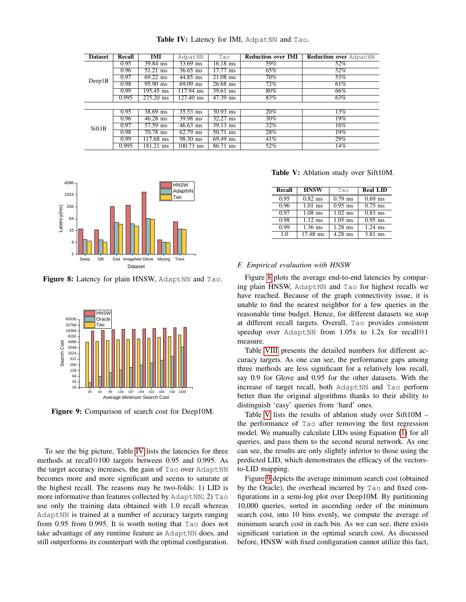<span id="page-8-0"></span>

| <b>Dataset</b>     | Recall | IMI                   | AdpatNN            | Tao                | <b>Reduction over IMI</b> | Reduction over AdpatNN |
|--------------------|--------|-----------------------|--------------------|--------------------|---------------------------|------------------------|
|                    | 0.95   | 39.84 ms              | 33.69 ms           | $16.18$ ms         | 59%                       | 52%                    |
|                    | 0.96   | 51.21 ms              | $36.65$ ms         | 17.77 ms           | 65%                       | 52%                    |
| Deep1B             | 0.97   | $69.22$ ms            | 44.85 ms           | $21.08$ ms         | 70%                       | 53%                    |
|                    | 0.98   | $95.90$ ms            | $69.09$ ms         | $26.68$ ms         | $72\%$                    | 61%                    |
|                    | 0.99   | $195.45$ ms           | $117.94$ ms        | $39.61$ ms         | $80\%$                    | 66%                    |
|                    | 0.995  | $275.20 \text{ ms}$   | $127.40$ ms        | $47.39$ ms         | 83%                       | 63%                    |
|                    |        |                       |                    |                    |                           |                        |
|                    | 0.95   | $38.69$ ms            | $35.53 \text{ ms}$ | $30.93$ ms         | 20%                       | 13%                    |
|                    | 0.96   | $\overline{46.28}$ ms | 39.98 ms           | $32.27 \text{ ms}$ | 30%                       | 19%                    |
| Sift1 <sub>B</sub> | 0.97   | 57.59 ms              | $46.63$ ms         | $39.13$ ms         | 32%                       | 16%                    |
|                    | 0.98   | $70.78$ ms            | $62.79$ ms         | $50.71$ ms         | 28%                       | 19%                    |
|                    | 0.99   | 117.68 ms             | 98.30 ms           | 69.49 ms           | 41%                       | 29%                    |
|                    | 0.995  | 181.21 ms             | $100.73$ ms        | 86.71 ms           | 52%                       | 14%                    |

Table IV: Latency for IMI, AdpatNN and Tao.

<span id="page-8-1"></span>

Figure 8: Latency for plain HNSW, AdaptNN and Tao.

<span id="page-8-3"></span>

Figure 9: Comparison of search cost for Deep10M.

To see the big picture, Table [IV](#page-8-0) lists the latencies for three methods at recall@100 targets between 0.95 and 0.995. As the target accuracy increases, the gain of Tao over AdaptNN becomes more and more significant and seems to saturate at the highest recall. The reasons may be two-folds: 1) LID is more informative than features collected by AdaptNN; 2) Tao use only the training data obtained with 1.0 recall whereas AdaptNN is trained at a number of accuracy targets ranging from 0.95 from 0.995. It is worth noting that Tao does not take advantage of any runtime feature as Adapt NN does, and still outperforms its counterpart with the optimal configuration.

<span id="page-8-2"></span>Table V: Ablation study over Sift10M.

| Recall | <b>HNSW</b>          | Tao       | <b>Real LID</b> |
|--------|----------------------|-----------|-----------------|
| 0.95   | $\overline{0.82}$ ms | $0.79$ ms | $0.69$ ms       |
| 0.96   | $1.01$ ms            | $0.95$ ms | $0.75$ ms       |
| 0.97   | $1.08$ ms            | $1.02$ ms | $0.83$ ms       |
| 0.98   | $1.12$ ms            | $1.05$ ms | $0.95$ ms       |
| 0.99   | $1.36$ ms            | $1.28$ ms | $1.24$ ms       |
| 1 O    | $17.48$ ms           | $4.28$ ms | 3.81 ms         |

### *F. Empirical evaluation with HNSW*

Figure [8](#page-8-1) plots the average end-to-end latencies by comparing plain HNSW, AdaptNN and Tao for highest recalls we have reached. Because of the graph connectivity issue, it is unable to find the nearest neighbor for a few queries in the reasonable time budget. Hence, for different datasets we stop at different recall targets. Overall, Tao provides consistent speedup over AdaptNN from 1.05x to 1.2x for recall@1 measure.

Table [VIII](#page-11-0) presents the detailed numbers for different accuracy targets. As one can see, the performance gaps among three methods are less significant for a relatively low recall, say 0.9 for Glove and 0.95 for the other datasets. With the increase of target recall, both AdaptNN and Tao perform better than the original algorithms thanks to their ability to distinguish 'easy' queries from 'hard' ones.

Table [V](#page-8-2) lists the results of ablation study over Sift10M – the performance of Tao after removing the first regression model. We manually calculate LIDs using Equation [\(1\)](#page-4-0) for all queries, and pass them to the second neural network. As one can see, the results are only slightly inferior to those using the predicted LID, which demonstrates the efficacy of the vectorsto-LID mapping.

Figure [9](#page-8-3) depicts the average minimum search cost (obtained by the Oracle), the overhead incurred by Tao and fixed configurations in a semi-log plot over Deep10M. By partitioning 10,000 queries, sorted in ascending order of the minimum search cost, into 10 bins evenly, we compute the average of minimum search cost in each bin. As we can see, there exists significant variation in the optimal search cost. As discussed before, HNSW with fixed configuration cannot utilize this fact,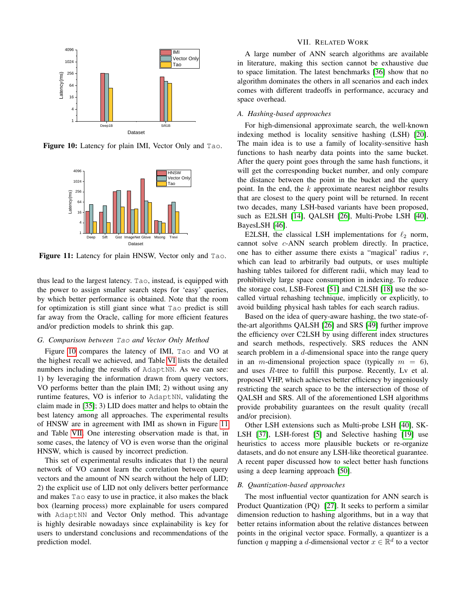<span id="page-9-0"></span>

<span id="page-9-1"></span>Figure 10: Latency for plain IMI, Vector Only and Tao.



Figure 11: Latency for plain HNSW, Vector only and Tao.

thus lead to the largest latency. Tao, instead, is equipped with the power to assign smaller search steps for 'easy' queries, by which better performance is obtained. Note that the room for optimization is still giant since what Tao predict is still far away from the Oracle, calling for more efficient features and/or prediction models to shrink this gap.

### *G. Comparison between* Tao *and Vector Only Method*

Figure [10](#page-9-0) compares the latency of IMI, Tao and VO at the highest recall we achieved, and Table [VI](#page-10-0) lists the detailed numbers including the results of AdaptNN. As we can see: 1) by leveraging the information drawn from query vectors, VO performs better than the plain IMI; 2) without using any runtime features, VO is inferior to AdaptNN, validating the claim made in [\[35\]](#page-12-8); 3) LID does matter and helps to obtain the best latency among all approaches. The experimental results of HNSW are in agreement with IMI as shown in Figure [11](#page-9-1) and Table [VII.](#page-10-1) One interesting observation made is that, in some cases, the latency of VO is even worse than the original HNSW, which is caused by incorrect prediction.

This set of experimental results indicates that 1) the neural network of VO cannot learn the correlation between query vectors and the amount of NN search without the help of LID; 2) the explicit use of LID not only delivers better performance and makes Tao easy to use in practice, it also makes the black box (learning process) more explainable for users compared with AdaptNN and Vector Only method. This advantage is highly desirable nowadays since explainability is key for users to understand conclusions and recommendations of the prediction model.

### VII. RELATED WORK

A large number of ANN search algorithms are available in literature, making this section cannot be exhaustive due to space limitation. The latest benchmarks [\[36\]](#page-12-33) show that no algorithm dominates the others in all scenarios and each index comes with different tradeoffs in performance, accuracy and space overhead.

### *A. Hashing-based approaches*

 $\overline{HMSW}$  will get the corresponding bucket number, and only compare For high-dimensional approximate search, the well-known indexing method is locality sensitive hashing (LSH) [\[20\]](#page-12-32). The main idea is to use a family of locality-sensitive hash functions to hash nearby data points into the same bucket. After the query point goes through the same hash functions, it the distance between the point in the bucket and the query point. In the end, the  $k$  approximate nearest neighbor results that are closest to the query point will be returned. In recent two decades, many LSH-based variants have been proposed, such as E2LSH [\[14\]](#page-12-34), QALSH [\[26\]](#page-12-35), Multi-Probe LSH [\[40\]](#page-12-36), BayesLSH [\[46\]](#page-12-37).

> E2LSH, the classical LSH implementations for  $\ell_2$  norm, cannot solve c-ANN search problem directly. In practice, one has to either assume there exists a "magical" radius  $r$ , which can lead to arbitrarily bad outputs, or uses multiple hashing tables tailored for different radii, which may lead to prohibitively large space consumption in indexing. To reduce the storage cost, LSB-Forest [\[51\]](#page-12-38) and C2LSH [\[18\]](#page-12-39) use the socalled virtual rehashing technique, implicitly or explicitly, to avoid building physical hash tables for each search radius.

> Based on the idea of query-aware hashing, the two state-ofthe-art algorithms QALSH [\[26\]](#page-12-35) and SRS [\[49\]](#page-12-40) further improve the efficiency over C2LSH by using different index structures and search methods, respectively. SRS reduces the ANN search problem in a d-dimensional space into the range query in an *m*-dimensional projection space (typically  $m = 6$ ), and uses R-tree to fulfill this purpose. Recently, Lv et al. proposed VHP, which achieves better efficiency by ingeniously restricting the search space to be the intersection of those of QALSH and SRS. All of the aforementioned LSH algorithms provide probability guarantees on the result quality (recall and/or precision).

> Other LSH extensions such as Multi-probe LSH [\[40\]](#page-12-36), SK-LSH [\[37\]](#page-12-41), LSH-forest [\[5\]](#page-12-42) and Selective hashing [\[19\]](#page-12-43) use heuristics to access more plausible buckets or re-organize datasets, and do not ensure any LSH-like theoretical guarantee. A recent paper discussed how to select better hash functions using a deep learning approach [\[50\]](#page-12-44).

### *B. Quantization-based approaches*

The most influential vector quantization for ANN search is Product Quantization (PQ) [\[27\]](#page-12-6). It seeks to perform a similar dimension reduction to hashing algorithms, but in a way that better retains information about the relative distances between points in the original vector space. Formally, a quantizer is a function q mapping a d-dimensional vector  $x \in \mathbb{R}^d$  to a vector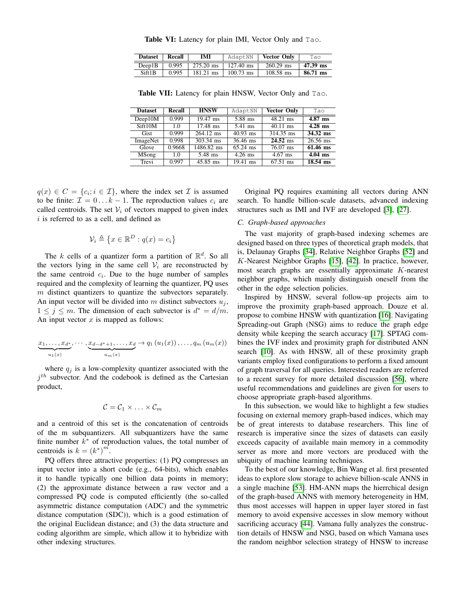Table VI: Latency for plain IMI, Vector Only and Tao.

<span id="page-10-0"></span>

| <b>Dataset</b> | Recall | IMI         | AdaptNN             | <b>Vector Only</b> | Tao      |
|----------------|--------|-------------|---------------------|--------------------|----------|
| Deep1B         | 0.995  | 275.20 ms   | $127.40 \text{ ms}$ | $260.29$ ms        | 47.39 ms |
| Sift1B         | 0.995  | $181.21$ ms | $100.73$ ms         | $108.58$ ms        | 86.71 ms |

Table VII: Latency for plain HNSW, Vector Only and Tao.

<span id="page-10-1"></span>

| <b>Dataset</b>  | Recall         | <b>HNSW</b>         | AdaptNN    | <b>Vector Only</b> | Tao        |
|-----------------|----------------|---------------------|------------|--------------------|------------|
| Deep10M         | 0.999          | $19.47$ ms          | 5.88 ms    | 48.21 ms           | $4.87$ ms  |
| Sift10M         | 1 <sub>0</sub> | $17.48$ ms          | $5.41$ ms  | $40.11$ ms         | $4.28$ ms  |
| <b>Gist</b>     | 0.999          | $264.12 \text{ ms}$ | $40.93$ ms | $314.35$ ms        | 34.32 ms   |
| <b>ImageNet</b> | 0.998          | $303.34 \text{ ms}$ | $36.46$ ms | $24.52 \text{ ms}$ | $26.56$ ms |
| Glove           | 0.9668         | 1486.82 ms          | $65.24$ ms | $76.07$ ms         | $61.46$ ms |
| MSong           | 1 <sub>0</sub> | 5.48 ms             | $4.26$ ms  | $4.67$ ms          | $4.04$ ms  |
| Trevi           | 0.997          | $45.85$ ms          | $19.41$ ms | $67.51$ ms         | $18.54$ ms |

 $q(x) \in C = \{c_i; i \in \mathcal{I}\}\$ , where the index set  $\mathcal{I}$  is assumed to be finite:  $\mathcal{I} = 0...k - 1$ . The reproduction values  $c_i$  are called centroids. The set  $V_i$  of vectors mapped to given index  $i$  is referred to as a cell, and defined as

$$
\mathcal{V}_i \triangleq \left\{ x \in \mathbb{R}^D : q(x) = c_i \right\}
$$

The k cells of a quantizer form a partition of  $\mathbb{R}^d$ . So all the vectors lying in the same cell  $V_i$  are reconstructed by the same centroid  $c_i$ . Due to the huge number of samples required and the complexity of learning the quantizer, PQ uses  $m$  distinct quantizers to quantize the subvectors separately. An input vector will be divided into m distinct subvectors  $u_i$ ,  $1 \leq j \leq m$ . The dimension of each subvector is  $d^* = d/m$ . An input vector  $x$  is mapped as follows:

$$
\underbrace{x_1,\ldots,x_{d^*}}_{u_1(x)},\ldots,\underbrace{x_{d-d^*+1},\ldots,x_d}_{u_m(x)}\to q_1(u_1(x)),\ldots,q_m(u_m(x))
$$

where  $q_j$  is a low-complexity quantizer associated with the  $j<sup>th</sup>$  subvector. And the codebook is defined as the Cartesian product,

$$
\mathcal{C} = \mathcal{C}_1 \times \ldots \times \mathcal{C}_m
$$

and a centroid of this set is the concatenation of centroids of the m subquantizers. All subquantizers have the same finite number  $k^*$  of reproduction values, the total number of centroids is  $k = (k^*)^m$ .

PQ offers three attractive properties: (1) PQ compresses an input vector into a short code (e.g., 64-bits), which enables it to handle typically one billion data points in memory; (2) the approximate distance between a raw vector and a compressed PQ code is computed efficiently (the so-called asymmetric distance computation (ADC) and the symmetric distance computation (SDC)), which is a good estimation of the original Euclidean distance; and (3) the data structure and coding algorithm are simple, which allow it to hybridize with other indexing structures.

Original PQ requires examining all vectors during ANN search. To handle billion-scale datasets, advanced indexing structures such as IMI and IVF are developed [\[3\]](#page-12-9), [\[27\]](#page-12-6).

### *C. Graph-based approaches*

The vast majority of graph-based indexing schemes are designed based on three types of theoretical graph models, that is, Delaunay Graphs [\[34\]](#page-12-45), Relative Neighbor Graphs [\[52\]](#page-12-46) and K-Nearest Neighbor Graphs [\[15\]](#page-12-47), [\[42\]](#page-12-48). In practice, however, most search graphs are essentially approximate K-nearest neighbor graphs, which mainly distinguish oneself from the other in the edge selection policies.

Inspired by HNSW, several follow-up projects aim to improve the proximity graph-based approach. Douze et al. propose to combine HNSW with quantization [\[16\]](#page-12-49). Navigating Spreading-out Graph (NSG) aims to reduce the graph edge density while keeping the search accuracy [\[17\]](#page-12-50). SPTAG combines the IVF index and proximity graph for distributed ANN search [\[10\]](#page-12-51). As with HNSW, all of these proximity graph variants employ fixed configurations to perform a fixed amount of graph traversal for all queries. Interested readers are referred to a recent survey for more detailed discussion [\[56\]](#page-13-1), where useful recommendations and guidelines are given for users to choose appropriate graph-based algorithms.

In this subsection, we would like to highlight a few studies focusing on external memory graph-based indices, which may be of great interests to database researchers. This line of research is imperative since the sizes of datasets can easily exceeds capacity of available main memory in a commodity server as more and more vectors are produced with the ubiquity of machine learning techniques.

To the best of our knowledge, Bin Wang et al. first presented ideas to explore slow storage to achieve billion-scale ANNS in a single machine [\[53\]](#page-12-52). HM-ANN maps the hierrchical design of the graph-based ANNS with memory heterogeneity in HM, thus most accesses will happen in upper layer stored in fast memory to avoid expensive accesses in slow memory without sacrificing accuracy [\[44\]](#page-12-53). Vamana fully analyzes the construction details of HNSW and NSG, based on which Vamana uses the random neighbor selection strategy of HNSW to increase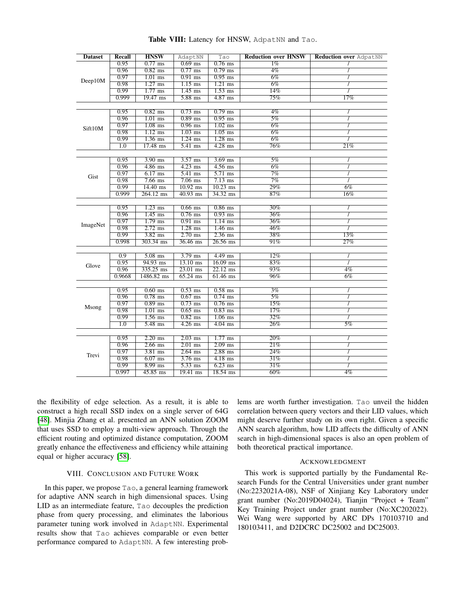<span id="page-11-0"></span>

| <b>Dataset</b> | Recall | <b>HNSW</b> | AdaptNN    | Tao                          | <b>Reduction over HNSW</b> | Reduction over AdpatNN |
|----------------|--------|-------------|------------|------------------------------|----------------------------|------------------------|
|                | 0.95   | $0.77$ ms   | $0.69$ ms  | $0.76$ ms                    | $1\%$                      |                        |
|                | 0.96   | $0.82$ ms   | $0.77$ ms  | $\overline{0.79 \text{ ms}}$ | 4%                         |                        |
| Deep10M        | 0.97   | $1.01$ ms   | $0.91$ ms  | $0.95$ ms                    | 6%                         | $\prime$               |
|                | 0.98   | $1.27$ ms   | $1.15$ ms  | $1.21$ ms                    | 6%                         | 7                      |
|                | 0.99   | $1.77$ ms   | $1.45$ ms  | $1.53$ ms                    | 14%                        | $\prime$               |
|                | 0.999  | $19.47$ ms  | $5.88$ ms  | $4.87$ ms                    | 75%                        | 17%                    |
|                |        |             |            |                              |                            |                        |
|                | 0.95   | $0.82$ ms   | $0.73$ ms  | $0.79$ ms                    | 4%                         | $\prime$               |
|                | 0.96   | $1.01$ ms   | $0.89$ ms  | $0.95$ ms                    | 5%                         | 7                      |
| Sift10M        | 0.97   | $1.08$ ms   | $0.96$ ms  | $1.02$ ms                    | 6%                         | $\prime$               |
|                | 0.98   | $1.12$ ms   | $1.03$ ms  | $1.05$ ms                    | 6%                         |                        |
|                | 0.99   | $1.36$ ms   | $1.24$ ms  | $1.28$ ms                    | 6%                         |                        |
|                | 1.0    | $17.48$ ms  | $5.41$ ms  | $4.28$ ms                    | 76%                        | 21%                    |
|                |        |             |            |                              |                            |                        |
|                | 0.95   | $3.90$ ms   | $3.57$ ms  | $3.69$ ms                    | 5%                         | $\prime$               |
|                | 0.96   | $4.86$ ms   | $4.23$ ms  | $4.56$ ms                    | 6%                         | $\prime$               |
| Gist           | 0.97   | $6.17$ ms   | $5.41$ ms  | $5.71$ ms                    | 7%                         | $\prime$               |
|                | 0.98   | $7.66$ ms   | $7.06$ ms  | $7.13$ ms                    | 7%                         | 7                      |
|                | 0.99   | $14.40$ ms  | $10.92$ ms | $10.23$ ms                   | 29%                        | 6%                     |
|                | 0.999  | $264.12$ ms | $40.93$ ms | $34.32$ ms                   | 87%                        | 16%                    |
|                |        |             |            |                              |                            |                        |
|                | 0.95   | $1.23$ ms   | $0.66$ ms  | $0.86$ ms                    | 30%                        | $\prime$               |
|                | 0.96   | $1.45$ ms   | $0.76$ ms  | $0.93$ ms                    | 36%                        | $\prime$               |
| ImageNet       | 0.97   | $1.79$ ms   | $0.91$ ms  | $1.14$ ms                    | 36%                        | $\prime$               |
|                | 0.98   | $2.72$ ms   | $1.28$ ms  | $1.46$ ms                    | 46%                        | $\prime$               |
|                | 0.99   | $3.82$ ms   | $2.70$ ms  | $2.36$ ms                    | 38%                        | 13%                    |
|                | 0.998  | $303.34$ ms | $36.46$ ms | $26.56$ ms                   | 91%                        | 27%                    |
|                |        |             |            |                              |                            |                        |
|                | 0.9    | $5.08$ ms   | $3.79$ ms  | $4.49$ ms                    | 12%                        | $\prime$               |
| Glove          | 0.95   | $94.93$ ms  | $13.10$ ms | $16.09$ ms                   | 83%                        | $\overline{1}$         |
|                | 0.96   | $335.25$ ms | $23.01$ ms | $22.12 \text{ ms}$           | 93%                        | $4\%$                  |
|                | 0.9668 | 1486.82 ms  | $65.24$ ms | $61.46$ ms                   | 96%                        | 6%                     |
|                |        |             |            |                              |                            |                        |
|                | 0.95   | $0.60$ ms   | $0.53$ ms  | $0.58$ ms                    | 3%                         | $\prime$               |
|                | 0.96   | $0.78$ ms   | $0.67$ ms  | $0.74$ ms                    | 5%                         | $\prime$               |
| Msong          | 0.97   | $0.89$ ms   | $0.73$ ms  | $0.76$ ms                    | 15%                        | $\prime$               |
|                | 0.98   | $1.01$ ms   | $0.65$ ms  | $0.83$ ms                    | 17%                        |                        |
|                | 0.99   | $1.56$ ms   | $0.82$ ms  | $1.06$ ms                    | 32%                        |                        |
|                | 1.0    | $5.48$ ms   | $4.26$ ms  | $4.04$ ms                    | 26%                        | 5%                     |
|                |        |             |            |                              |                            |                        |
|                | 0.95   | $2.20$ ms   | $2.03$ ms  | $1.77$ ms                    | 20%                        | $\prime$               |
|                | 0.96   | $2.66$ ms   | $2.01$ ms  | $2.09$ ms                    | 21%                        | 7                      |
| Trevi          | 0.97   | $3.81$ ms   | $2.64$ ms  | $2.88$ ms                    | 24%                        |                        |
|                | 0.98   | $6.07$ ms   | $3.76$ ms  | $4.18$ ms                    | 31%                        | 7                      |
|                | 0.99   | $8.99$ ms   | $5.33$ ms  | $6.23$ ms                    | 31%                        |                        |
|                | 0.997  | 45.85 ms    | $19.41$ ms | $18.54$ ms                   | 60%                        | 4%                     |

Table VIII: Latency for HNSW, AdpatNN and Tao.

the flexibility of edge selection. As a result, it is able to construct a high recall SSD index on a single server of 64G [\[48\]](#page-12-54). Minjia Zhang et al. presented an ANN solution ZOOM that uses SSD to employ a multi-view approach. Through the efficient routing and optimized distance computation, ZOOM greatly enhance the effectiveness and efficiency while attaining equal or higher accuracy [\[58\]](#page-13-2).

VIII. CONCLUSION AND FUTURE WORK

In this paper, we propose Tao, a general learning framework for adaptive ANN search in high dimensional spaces. Using LID as an intermediate feature, Tao decouples the prediction phase from query processing, and eliminates the laborious parameter tuning work involved in AdaptNN. Experimental results show that Tao achieves comparable or even better performance compared to AdaptNN. A few interesting problems are worth further investigation. Tao unveil the hidden correlation between query vectors and their LID values, which might deserve further study on its own right. Given a specific ANN search algorithm, how LID affects the difficulty of ANN search in high-dimensional spaces is also an open problem of both theoretical practical importance.

### ACKNOWLEDGMENT

This work is supported partially by the Fundamental Research Funds for the Central Universities under grant number (No:2232021A-08), NSF of Xinjiang Key Laboratory under grant number (No:2019D04024), Tianjin "Project + Team" Key Training Project under grant number (No:XC202022). Wei Wang were supported by ARC DPs 170103710 and 180103411, and D2DCRC DC25002 and DC25003.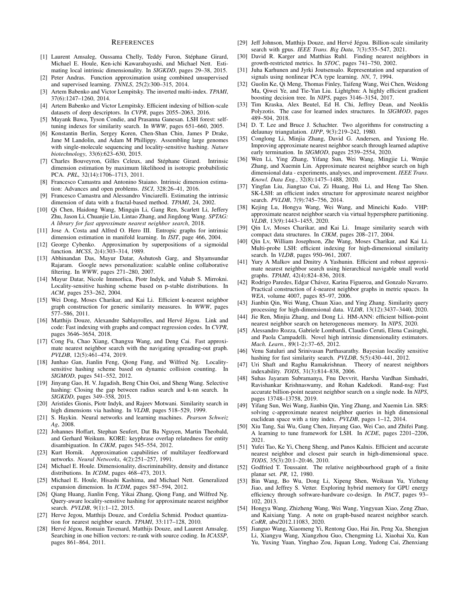### **REFERENCES**

- <span id="page-12-25"></span>[1] Laurent Amsaleg, Oussama Chelly, Teddy Furon, Stéphane Girard, Michael E. Houle, Ken-ichi Kawarabayashi, and Michael Nett. Estimating local intrinsic dimensionality. In *SIGKDD*, pages 29–38, 2015.
- <span id="page-12-30"></span>[2] Peter Andras. Function approximation using combined unsupervised and supervised learning. *TNNLS*, 25(2):300–315, 2014.
- <span id="page-12-9"></span>[3] Artem Babenko and Victor Lempitsky. The inverted multi-index. *TPAMI*, 37(6):1247–1260, 2014.
- <span id="page-12-11"></span>[4] Artem Babenko and Victor Lempitsky. Efficient indexing of billion-scale datasets of deep descriptors. In *CVPR*, pages 2055–2063, 2016.
- <span id="page-12-42"></span>[5] Mayank Bawa, Tyson Condie, and Prasanna Ganesan. LSH forest: selftuning indexes for similarity search. In *WWW*, pages 651–660, 2005.
- <span id="page-12-4"></span>[6] Konstantin Berlin, Sergey Koren, Chen-Shan Chin, James P Drake, Jane M Landolin, and Adam M Phillippy. Assembling large genomes with single-molecule sequencing and locality-sensitive hashing. *Nature biotechnology*, 33(6):623–630, 2015.
- <span id="page-12-16"></span>[7] Charles Bouveyron, Gilles Celeux, and Stéphane Girard. Intrinsic dimension estimation by maximum likelihood in isotropic probabilistic PCA. *PRL*, 32(14):1706–1713, 2011.
- <span id="page-12-15"></span>[8] Francesco Camastra and Antonino Staiano. Intrinsic dimension estimation: Advances and open problems. *ISCI*, 328:26–41, 2016.
- <span id="page-12-18"></span>Francesco Camastra and Alessandro Vinciarelli. Estimating the intrinsic dimension of data with a fractal-based method. *TPAMI*, 24, 2002.
- <span id="page-12-51"></span>[10] Qi Chen, Haidong Wang, Mingqin Li, Gang Ren, Scarlett Li, Jeffery Zhu, Jason Li, Chuanjie Liu, Lintao Zhang, and Jingdong Wang. *SPTAG: A library for fast approximate nearest neighbor search*, 2018.
- <span id="page-12-19"></span>[11] Jose A. Costa and Alfred O. Hero III. Entropic graphs for intrinsic dimension estimation in manifold learning. In *ISIT*, page 466, 2004.
- <span id="page-12-27"></span>[12] George Cybenko. Approximation by superpositions of a sigmoidal function. *MCSS*, 2(4):303–314, 1989.
- <span id="page-12-2"></span>[13] Abhinandan Das, Mayur Datar, Ashutosh Garg, and Shyamsundar Rajaram. Google news personalization: scalable online collaborative filtering. In *WWW*, pages 271–280, 2007.
- <span id="page-12-34"></span>[14] Mayur Datar, Nicole Immorlica, Piotr Indyk, and Vahab S. Mirrokni. Locality-sensitive hashing scheme based on p-stable distributions. In *ACM*, pages 253–262, 2004.
- <span id="page-12-47"></span>[15] Wei Dong, Moses Charikar, and Kai Li. Efficient k-nearest neighbor graph construction for generic similarity measures. In *WWW*, pages 577–586, 2011.
- <span id="page-12-49"></span>[16] Matthijs Douze, Alexandre Sablayrolles, and Hervé Jégou. Link and code: Fast indexing with graphs and compact regression codes. In *CVPR*, pages 3646–3654, 2018.
- <span id="page-12-50"></span>[17] Cong Fu, Chao Xiang, Changxu Wang, and Deng Cai. Fast approximate nearest neighbor search with the navigating spreading-out graph. *PVLDB*, 12(5):461–474, 2019.
- <span id="page-12-39"></span>[18] Junhao Gan, Jianlin Feng, Qiong Fang, and Wilfred Ng. Localitysensitive hashing scheme based on dynamic collision counting. In *SIGMOD*, pages 541–552, 2012.
- <span id="page-12-43"></span>[19] Jinyang Gao, H. V. Jagadish, Beng Chin Ooi, and Sheng Wang. Selective hashing: Closing the gap between radius search and k-nn search. In *SIGKDD*, pages 349–358, 2015.
- <span id="page-12-32"></span>[20] Aristides Gionis, Piotr Indyk, and Rajeev Motwani. Similarity search in high dimensions via hashing. In *VLDB*, pages 518–529, 1999.
- <span id="page-12-31"></span>[21] S. Haykin. Neural networks and learning machines. *Pearson Schweiz Ag*, 2008.
- <span id="page-12-3"></span>[22] Johannes Hoffart, Stephan Seufert, Dat Ba Nguyen, Martin Theobald, and Gerhard Weikum. KORE: keyphrase overlap relatedness for entity disambiguation. In *CIKM*, pages 545–554, 2012.
- <span id="page-12-28"></span>[23] Kurt Hornik. Approximation capabilities of multilayer feedforward networks. *Neural Networks*, 4(2):251–257, 1991.
- <span id="page-12-23"></span>[24] Michael E. Houle. Dimensionality, discriminability, density and distance distributions. In *ICDM*, pages 468–473, 2013.
- <span id="page-12-21"></span>[25] Michael E. Houle, Hisashi Kashima, and Michael Nett. Generalized expansion dimension. In *ICDM*, pages 587–594, 2012.
- <span id="page-12-35"></span>[26] Qiang Huang, Jianlin Feng, Yikai Zhang, Qiong Fang, and Wilfred Ng. Query-aware locality-sensitive hashing for approximate nearest neighbor search. *PVLDB*, 9(1):1–12, 2015.
- <span id="page-12-6"></span>[27] Herve Jegou, Matthijs Douze, and Cordelia Schmid. Product quantization for nearest neighbor search. *TPAMI*, 33:117–128, 2010.
- <span id="page-12-12"></span>[28] Hervé Jégou, Romain Tavenard, Matthijs Douze, and Laurent Amsaleg. Searching in one billion vectors: re-rank with source coding. In *ICASSP*, pages 861–864, 2011.
- <span id="page-12-10"></span>[29] Jeff Johnson, Matthijs Douze, and Hervé Jégou. Billion-scale similarity search with gpus. *IEEE Trans. Big Data*, 7(3):535–547, 2021.
- <span id="page-12-20"></span>[30] David R. Karger and Matthias Ruhl. Finding nearest neighbors in growth-restricted metrics. In *STOC*, pages 741–750, 2002.
- <span id="page-12-17"></span>[31] Juha Karhunen and Jyrki Joutsensalo. Representation and separation of signals using nonlinear PCA type learning. *NN*, 7, 1994.
- <span id="page-12-29"></span>[32] Guolin Ke, Qi Meng, Thomas Finley, Taifeng Wang, Wei Chen, Weidong Ma, Qiwei Ye, and Tie-Yan Liu. Lightgbm: A highly efficient gradient boosting decision tree. In *NIPS*, pages 3146–3154, 2017.
- <span id="page-12-26"></span>[33] Tim Kraska, Alex Beutel, Ed H. Chi, Jeffrey Dean, and Neoklis Polyzotis. The case for learned index structures. In *SIGMOD*, pages 489–504, 2018.
- <span id="page-12-45"></span>[34] D. T. Lee and Bruce J. Schachter. Two algorithms for constructing a delaunay triangulation. *IJPP*, 9(3):219–242, 1980.
- <span id="page-12-8"></span>[35] Conglong Li, Minjia Zhang, David G. Andersen, and Yuxiong He. Improving approximate nearest neighbor search through learned adaptive early termination. In *SIGMOD*, pages 2539–2554, 2020.
- <span id="page-12-33"></span>[36] Wen Li, Ying Zhang, Yifang Sun, Wei Wang, Mingjie Li, Wenjie Zhang, and Xuemin Lin. Approximate nearest neighbor search on high dimensional data - experiments, analyses, and improvement. *IEEE Trans. Knowl. Data Eng.*, 32(8):1475–1488, 2020.
- <span id="page-12-41"></span>[37] Yingfan Liu, Jiangtao Cui, Zi Huang, Hui Li, and Heng Tao Shen. SK-LSH: an efficient index structure for approximate nearest neighbor search. *PVLDB*, 7(9):745–756, 2014.
- <span id="page-12-0"></span>[38] Kejing Lu, Hongya Wang, Wei Wang, and Mineichi Kudo. VHP: approximate nearest neighbor search via virtual hypersphere partitioning. *VLDB*, 13(9):1443–1455, 2020.
- <span id="page-12-1"></span>[39] Qin Lv, Moses Charikar, and Kai Li. Image similarity search with compact data structures. In *CIKM*, pages 208–217, 2004.
- <span id="page-12-36"></span>[40] Qin Lv, William Josephson, Zhe Wang, Moses Charikar, and Kai Li. Multi-probe LSH: efficient indexing for high-dimensional similarity search. In *VLDB*, pages 950–961, 2007.
- <span id="page-12-7"></span>[41] Yury A Malkov and Dmitry A Yashunin. Efficient and robust approximate nearest neighbor search using hierarchical navigable small world graphs. *TPAMI*, 42(4):824–836, 2018.
- <span id="page-12-48"></span>[42] Rodrigo Paredes, Edgar Chávez, Karina Figueroa, and Gonzalo Navarro. Practical construction of *k*-nearest neighbor graphs in metric spaces. In *WEA*, volume 4007, pages 85–97, 2006.
- <span id="page-12-5"></span>[43] Jianbin Qin, Wei Wang, Chuan Xiao, and Ying Zhang. Similarity query processing for high-dimensional data. *VLDB*, 13(12):3437–3440, 2020.
- <span id="page-12-53"></span>[44] Jie Ren, Minjia Zhang, and Dong Li. HM-ANN: efficient billion-point nearest neighbor search on heterogeneous memory. In *NIPS*, 2020.
- <span id="page-12-22"></span>[45] Alessandro Rozza, Gabriele Lombardi, Claudio Ceruti, Elena Casiraghi, and Paola Campadelli. Novel high intrinsic dimensionality estimators. *Mach. Learn.*, 89(1-2):37–65, 2012.
- <span id="page-12-37"></span>[46] Venu Satuluri and Srinivasan Parthasarathy. Bayesian locality sensitive hashing for fast similarity search. *PVLDB*, 5(5):430–441, 2012.
- <span id="page-12-24"></span>[47] Uri Shaft and Raghu Ramakrishnan. Theory of nearest neighbors indexability. *TODS*, 31(3):814–838, 2006.
- <span id="page-12-54"></span>[48] Suhas Jayaram Subramanya, Fnu Devvrit, Harsha Vardhan Simhadri, Ravishankar Krishnaswamy, and Rohan Kadekodi. Rand-nsg: Fast accurate billion-point nearest neighbor search on a single node. In *NIPS*, pages 13748–13758, 2019.
- <span id="page-12-40"></span>[49] Yifang Sun, Wei Wang, Jianbin Qin, Ying Zhang, and Xuemin Lin. SRS: solving c-approximate nearest neighbor queries in high dimensional euclidean space with a tiny index. *PVLDB*, pages 1–12, 2014.
- <span id="page-12-44"></span>[50] Xiu Tang, Sai Wu, Gang Chen, Jinyang Gao, Wei Cao, and Zhifei Pang. A learning to tune framework for LSH. In *ICDE*, pages 2201–2206, 2021.
- <span id="page-12-38"></span>[51] Yufei Tao, Ke Yi, Cheng Sheng, and Panos Kalnis. Efficient and accurate nearest neighbor and closest pair search in high-dimensional space. *TODS*, 35(3):20:1–20:46, 2010.
- <span id="page-12-46"></span>[52] Godfried T. Toussaint. The relative neighbourhood graph of a finite planar set. *PR*, 12, 1980.
- <span id="page-12-52"></span>[53] Bin Wang, Bo Wu, Dong Li, Xipeng Shen, Weikuan Yu, Yizheng Jiao, and Jeffrey S. Vetter. Exploring hybrid memory for GPU energy efficiency through software-hardware co-design. In *PACT*, pages 93– 102, 2013.
- <span id="page-12-14"></span>[54] Hongya Wang, Zhizheng Wang, Wei Wang, Yingyuan Xiao, Zeng Zhao, and Kaixiang Yang. A note on graph-based nearest neighbor search. *CoRR*, abs/2012.11083, 2020.
- <span id="page-12-13"></span>[55] Jianguo Wang, Xiaomeng Yi, Rentong Guo, Hai Jin, Peng Xu, Shengjun Li, Xiangyu Wang, Xiangzhou Guo, Chengming Li, Xiaohai Xu, Kun Yu, Yuxing Yuan, Yinghao Zou, Jiquan Long, Yudong Cai, Zhenxiang